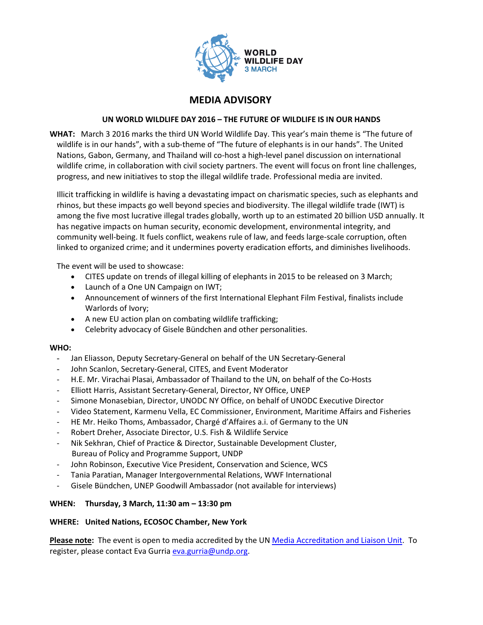

# MEDIA ADVISORY

### UN WORLD WILDLIFE DAY 2016 – THE FUTURE OF WILDLIFE IS IN OUR HANDS

WHAT: March 3 2016 marks the third UN World Wildlife Day. This year's main theme is "The future of wildlife is in our hands", with a sub-theme of "The future of elephants is in our hands". The United Nations, Gabon, Germany, and Thailand will co-host a high-level panel discussion on international wildlife crime, in collaboration with civil society partners. The event will focus on front line challenges, progress, and new initiatives to stop the illegal wildlife trade. Professional media are invited.

Illicit trafficking in wildlife is having a devastating impact on charismatic species, such as elephants and rhinos, but these impacts go well beyond species and biodiversity. The illegal wildlife trade (IWT) is among the five most lucrative illegal trades globally, worth up to an estimated 20 billion USD annually. It has negative impacts on human security, economic development, environmental integrity, and community well-being. It fuels conflict, weakens rule of law, and feeds large-scale corruption, often linked to organized crime; and it undermines poverty eradication efforts, and diminishes livelihoods.

The event will be used to showcase:

- CITES update on trends of illegal killing of elephants in 2015 to be released on 3 March;
- Launch of a One UN Campaign on IWT;
- Announcement of winners of the first International Elephant Film Festival, finalists include Warlords of Ivory;
- A new EU action plan on combating wildlife trafficking;
- Celebrity advocacy of Gisele Bündchen and other personalities.

#### WHO:

- Jan Eliasson, Deputy Secretary-General on behalf of the UN Secretary-General
- John Scanlon, Secretary-General, CITES, and Event Moderator
- H.E. Mr. Virachai Plasai, Ambassador of Thailand to the UN, on behalf of the Co-Hosts
- Elliott Harris, Assistant Secretary-General, Director, NY Office, UNEP
- Simone Monasebian, Director, UNODC NY Office, on behalf of UNODC Executive Director
- Video Statement, Karmenu Vella, EC Commissioner, Environment, Maritime Affairs and Fisheries
- HE Mr. Heiko Thoms, Ambassador, Chargé d'Affaires a.i. of Germany to the UN
- Robert Dreher, Associate Director, U.S. Fish & Wildlife Service
- Nik Sekhran, Chief of Practice & Director, Sustainable Development Cluster, Bureau of Policy and Programme Support, UNDP
- John Robinson, Executive Vice President, Conservation and Science, WCS
- Tania Paratian, Manager Intergovernmental Relations, WWF International
- Gisele Bündchen, UNEP Goodwill Ambassador (not available for interviews)

#### WHEN: Thursday, 3 March, 11:30 am – 13:30 pm

#### WHERE: United Nations, ECOSOC Chamber, New York

Please note: The event is open to media accredited by the UN Media Accreditation and Liaison Unit. To register, please contact Eva Gurria eva.gurria@undp.org.